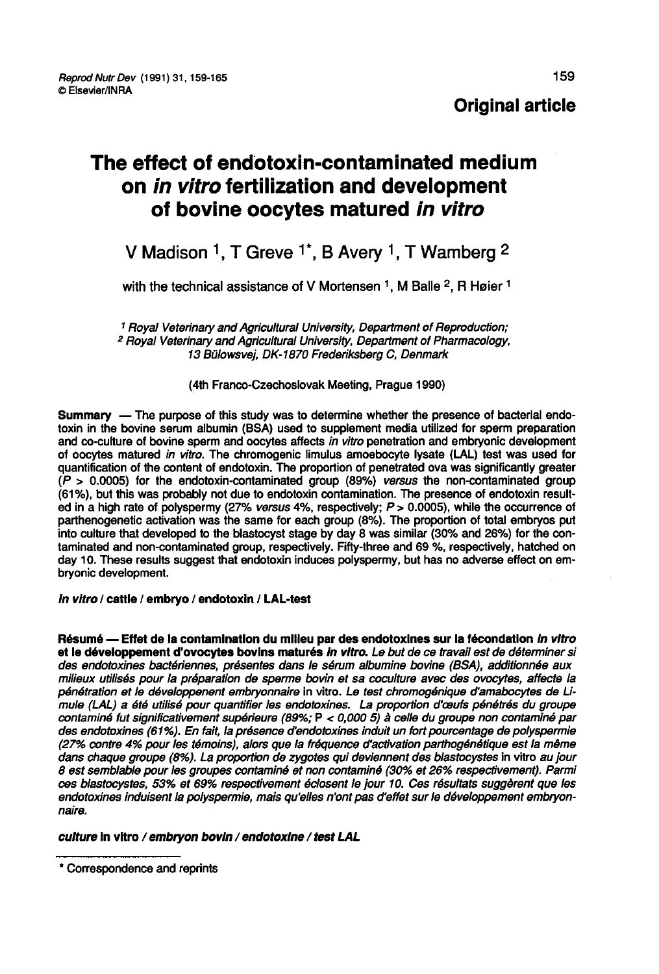# The effect of endotoxin-contaminated medium on in vitro fertilization and development of bovine oocytes matured in vitro

# V Madison <sup>1</sup>, T Greve <sup>1</sup>\*, B Avery <sup>1</sup>, T Wamberg <sup>2</sup>

with the technical assistance of V Mortensen  $<sup>1</sup>$ . M Balle <sup>2</sup>, R Høier <sup>1</sup></sup>

<sup>1</sup> Royal Veterinary and Agricultural University, Department of Reproduction;<br><sup>2</sup> Royal Veterinary and Agricultural University, Department of Pharmacology, 13 Bulowsvej, DK-1870 Frederiksberg C, Denmark

(4th Franco-Czechoslovak Meeting, Prague 1990)

Summary ― The purpose of this study was to determine whether the presence of bacterial endotoxin in the bovine serum albumin (BSA) used to supplement media utilized for sperm preparation and co-culture of bovine sperm and oocytes affects in vitro penetration and embryonic development of oocytes matured in vitro. The chromogenic limulus amoebocyte lysate (LAL) test was used for quantification of the content of endotoxin. The proportion of penetrated ova was significantly greater  $(P > 0.0005)$  for the endotoxin-contaminated group (89%) versus the non-contaminated group (61%), but this was probably not due to endotoxin contamination. The presence of endotoxin resulted in a high rate of polyspermy (27% versus 4%, respectively; P > 0.0005), while the occurrence of parthenogenetic activation was the same for each group (8%). The proportion of total embryos put into culture that developed to the blastocyst stage by day 8 was similar (30% and 26%) for the contaminated and non-contaminated group, respectively. Fifty-three and 69 %, respectively, hatched on day 10. These results suggest that endotoxin induces polyspermy, but has no adverse effect on embryonic development.

In vitro / cattle / embryo / endotoxin / LAL-test

Résumé - Effet de la contamination du milieu par des endotoxines sur la fécondation in vitro et le développement d'ovocytes bovins maturés in vitro. Le but de ce travail est de déterminer si des endotoxines bactériennes, présentes dans le sérum albumine bovine (BSA), additionnée aux milieux utilisés pour la préparation de sperme bovin et sa coculture avec des ovocytes, affecte la pénétration et le développenent embryonnaire in vitro. Le test chromogénique d'amabocytes de Limule (LAL) a été utilisé pour quantifier les endotoxines. La proportion d'œufs pénétrés du groupe<br>contaminé fut significativement supérieure (89%; P < 0,000 5) à celle du groupe non contaminé par<br>des endotoxines (61%). En contaminé fut significativement supérieure (89%; P < 0,000 5) à celle du groupe non contaminé par<br>des endotoxines (61%). En fait, la présence d'endotoxines induit un fort pourcentage de polyspermie (27°/ contre 4% pour les témoins), alors que la fréquence d'activation parthogénétique est la même dans chaque groupe (8%). La proportion de zygotes qui deviennent des blastocystes in vitro au jour 8 est semblable pour les groupes contaminé et non contaminé (30% et 26% respectivement). Parmi ces blastocystes, 53% et 69% respectivement éclosent le jour 10. Ces résultats suggèrent que les endotoxines induisent la polyspermie, mais qu'elles n'ont pas d'effet sur le développement embryonnaire.

culture ln vitro / embryon bovin / endotoxine / test LAL

<sup>\*</sup> Correspondence and reprints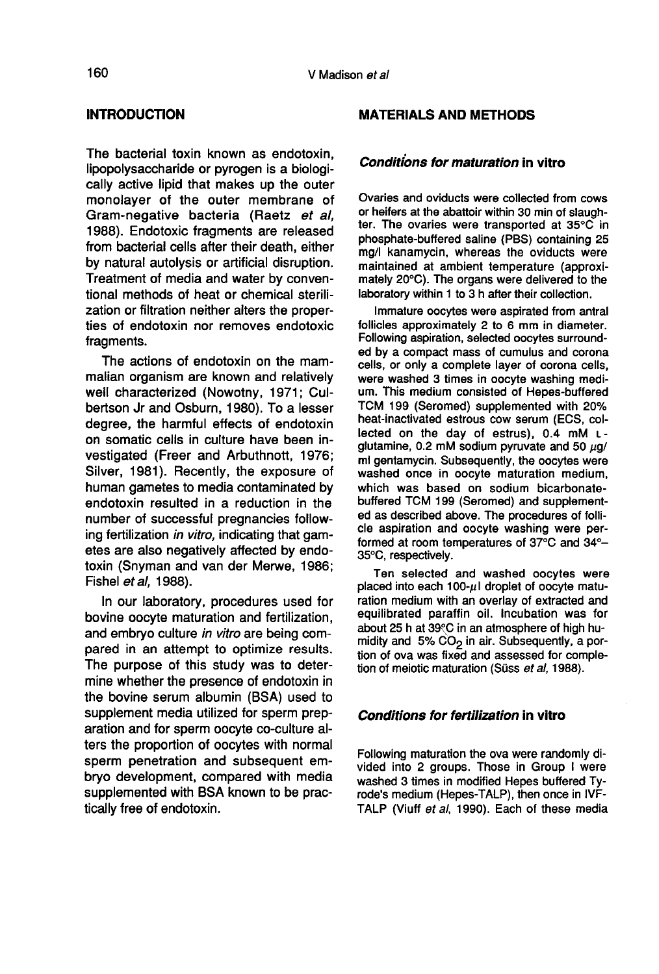# INTRODUCTION

The bacterial toxin known as endotoxin, lipopolysaccharide or pyrogen is a biologically active lipid that makes up the outer monolayer of the outer membrane of Gram-negative bacteria (Raetz et al, 1988). Endotoxic fragments are released from bacterial cells after their death, either by natural autolysis or artificial disruption. Treatment of media and water by conventional methods of heat or chemical sterilization or filtration neither alters the properties of endotoxin nor removes endotoxic fragments.

The actions of endotoxin on the mammalian organism are known and relatively well characterized (Nowotny, 1971; Culbertson Jr and Osburn, 1980). To a lesser degree, the harmful effects of endotoxin on somatic cells in culture have been investigated (Freer and Arbuthnott, 1976; Silver, 1981). Recently, the exposure of human gametes to media contaminated by endotoxin resulted in a reduction in the number of successful pregnancies following fertilization in vitro, indicating that gametes are also negatively affected by endotoxin (Snyman and van der Merwe, 1986; Fishel et al, 1988).

In our laboratory, procedures used for bovine oocyte maturation and fertilization, and embryo culture in vitro are being compared in an attempt to optimize results. The purpose of this study was to determine whether the presence of endotoxin in the bovine serum albumin (BSA) used to supplement media utilized for sperm preparation and for sperm oocyte co-culture alters the proportion of oocytes with normal sperm penetration and subsequent embryo development, compared with media supplemented with BSA known to be practically free of endotoxin.

# MATERIALS AND METHODS

# Conditions for maturation in vitro

Ovaries and oviducts were collected from cows ter. The ovaries were transported at 35°C in phosphate-buffered saline (PBS) containing 25 mg/I kanamycin, whereas the oviducts were maintained at ambient temperature (approximately 20°C). The organs were delivered to the laboratory within 1 to 3 h after their collection.

Immature oocytes were aspirated from antral follicles approximately 2 to 6 mm in diameter. Following aspiration, selected oocytes surrounded by a compact mass of cumulus and corona cells, or only a complete layer of corona cells, were washed 3 times in oocyte washing medium. This medium consisted of Hepes-buffered TCM 199 (Seromed) supplemented with 20% heat-inactivated estrous cow serum (ECS, collected on the day of estrus), 0.4 mM Lglutamine, 0.2 mM sodium pyruvate and 50  $\mu$ g/ ml gentamycin. Subsequently, the oocytes were washed once in oocyte maturation medium, which was based on sodium bicarbonatebuffered TCM 199 (Seromed) and supplemented as described above. The procedures of follicle aspiration and oocyte washing were performed at room temperatures of 37°C and 34°- 35°C, respectively.

Ten selected and washed oocytes were placed into each 100- $\mu$ I dropiet of oocyte maturation medium with an overlay of extracted and equilibrated paraffin oil. Incubation was for about 25 h at 39 °C in an atmosphere of high humidity and 5%  $CO<sub>2</sub>$  in air. Subsequently, a portion of ova was fixed and assessed for completion of meiotic maturation (Süss et al, 1988).

# Conditions for fertilization in vitro

Following maturation the ova were randomly divided into 2 groups. Those in Group I were washed 3 times in modified Hepes buffered Tyrode's medium (Hepes-TALP), then once in IVF-TALP (Viuff et al, 1990). Each of these media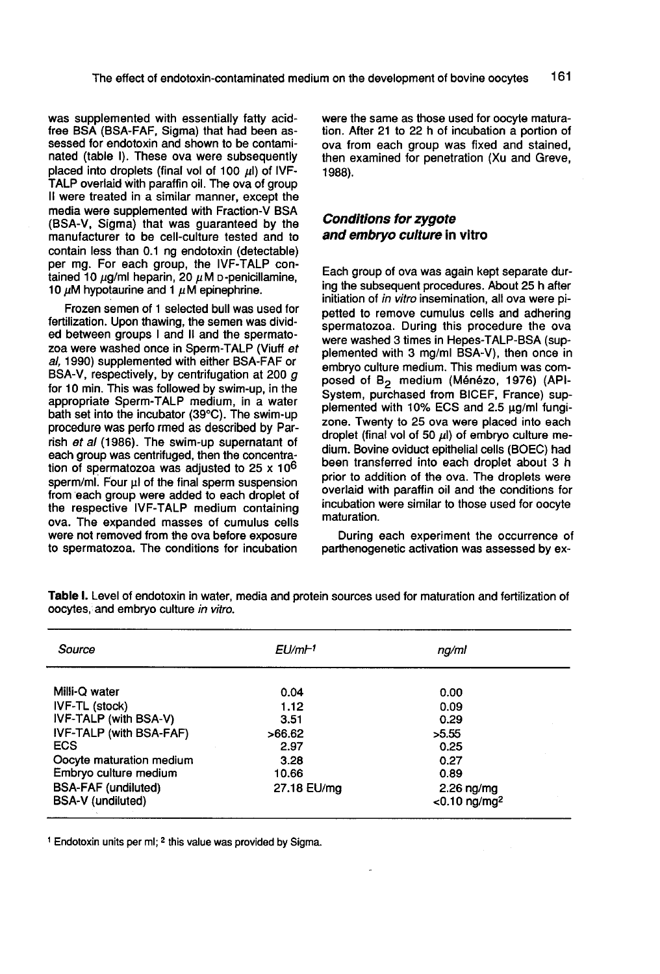was supplemented with essentially fatty acidfree BSA (BSA-FAF, Sigma) that had been assessed for endotoxin and shown to be contaminated (table I). These ova were subsequently placed into droplets (final vol of 100  $\mu$ I) of IVF-TALP overlaid with paraffin oil. The ova of group it were treated in a similar manner, except the media were supplemented with Fraction-V BSA (BSA-V, Sigma) that was guaranteed by the manufacturer to be cell-culture tested and to contain less than 0.1 ng endotoxin (detectable) per mg. For each group, the IVF-TALP contained 10  $\mu$ g/ml heparin, 20  $\mu$ M o-penicillamine, 10  $\mu$ M hypotaurine and 1  $\mu$ M epinephrine.

Frozen semen of 1 selected bull was used for fertilization. Upon thawing, the semen was divided between groups I and II and the spermatozoa were washed once in Sperm-TALP (Viuff et al, 1990) supplemented with either BSA-FAF or BSA-V, respectively, by centrifugation at 200  $g$ for 10 min. This was followed by swim-up, in the appropriate Sperm-TALP medium, in a water bath set into the incubator (39°C). The swim-up procedure was perfo rmed as described by Parrish et al (1986). The swim-up supernatant of each group was centrifuged, then the concentration of spermatozoa was adjusted to 25 x 10<sup>6</sup> sperm/ml. Four  $\mu$ l of the final sperm suspension from each group were added to each droplet of the respective IVF-TALP medium containing ova. The expanded masses of cumulus cells to spermatozoa. The conditions for incubation

were the same as those used for oocyte maturation. After 21 to 22 h of incubation a portion of ova from each group was fixed and stained, then examined for penetration (Xu and Greve, 1988).

# Conditions for zygote and embryo culture in vitro

Each group of ova was again kept separate during the subsequent procedures. About 25 h after initiation of in vitro insemination, all ova were pipetted to remove cumulus cells and adhering spermatozoa. During this procedure the ova were washed 3 times in Hepes-TALP-BSA (supplemented with 3 mg/ml BSA-V), then once in embryo culture medium. This medium was composed of B<sub>2</sub> medium (Ménézo, 1976) (API-System, purchased from BICEF, France) supplemented with 10% ECS and 2.5 µg/ml fungizone. Twenty to 25 ova were placed into each droplet (final vol of 50  $\mu$ l) of embryo culture medium. Bovine oviduct epithelial cells (BOEC) had been transferred into each droplet about 3 h prior to addition of the ova. The droplets were overlaid with paraffin oil and the conditions for incubation were similar to those used for oocyte maturation.

During each experiment the occurrence of parthenogenetic activation was assessed by ex-

| Source                                                                                               | EU/mF1                       | ng/ml                                                          |  |  |
|------------------------------------------------------------------------------------------------------|------------------------------|----------------------------------------------------------------|--|--|
| Milli-Q water                                                                                        | 0.04                         | 0.00                                                           |  |  |
| IVF-TL (stock)                                                                                       | 1.12                         | 0.09                                                           |  |  |
| IVF-TALP (with BSA-V)                                                                                | 3.51                         | 0.29                                                           |  |  |
| IVF-TALP (with BSA-FAF)                                                                              | >66.62                       | >5.55                                                          |  |  |
| <b>ECS</b>                                                                                           | 2.97                         | 0.25                                                           |  |  |
| Oocyte maturation medium<br>Embryo culture medium<br><b>BSA-FAF</b> (undiluted)<br>BSA-V (undiluted) | 3.28<br>10.66<br>27.18 EU/mg | 0.27<br>0.89<br>$2.26 \nmid mg$<br>$<$ 0.10 ng/mg <sup>2</sup> |  |  |

Table I. Level of endotoxin in water, media and protein sources used for maturation and fertilization of oocytes, and embryo culture in vitro.

<sup>1</sup> Endotoxin units per ml; <sup>2</sup> this value was provided by Sigma.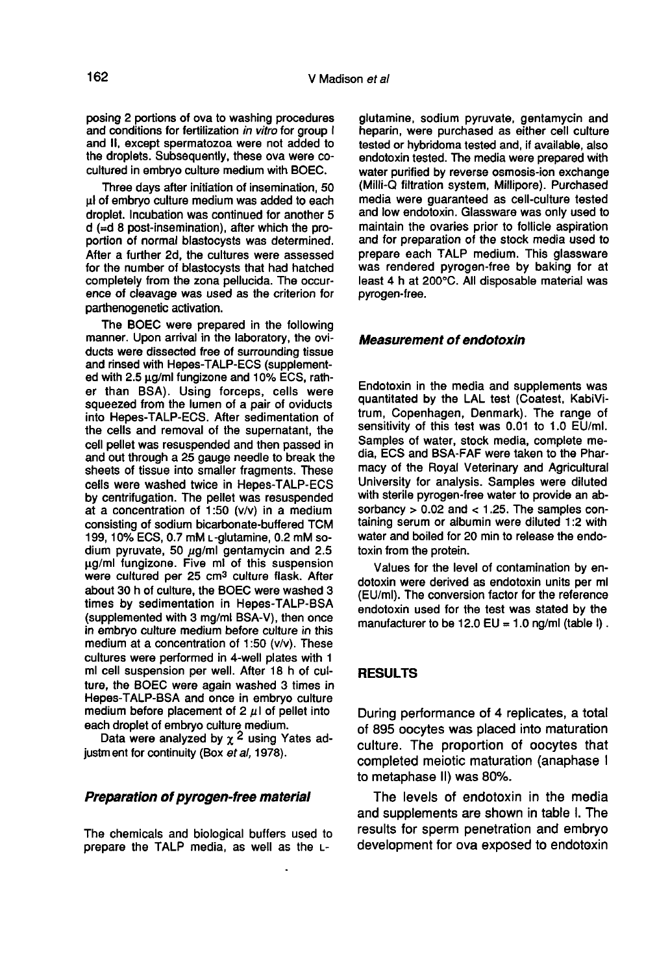posing 2 portions of ova to washing procedures and conditions for fertilization in vitro for group I and II, except spermatozoa were not added to the droplets. Subsequently, these ova were cocultured in embryo culture medium with BOEC.

Three days after initiation of insemination, 50  $\mu$ l of embryo culture medium was added to each droplet. Incubation was continued for another 5 d (=d 8 post-insemination), after which the proportion of normal blastocysts was determined. After a further 2d, the cultures were assessed for the number of blastocysts that had hatched completely from the zona pellucida. The occurence of cleavage was used as the criterion for parthenogenetic activation.

The BOEC were prepared in the following manner. Upon arrival in the laboratory, the oviducts were dissected free of surrounding tissue and rinsed with Hepes-TALP-ECS (supplemented with 2.5 wg/ml fungizone and 10% ECS, rather than BSA). Using forceps, cells were squeezed from the lumen of a pair of oviducts into Hepes-TALP-ECS. After sedimentation of the cells and removal of the supernatant, the cell pellet was resuspended and then passed in and out through a 25 gauge needle to break the sheets of tissue into smaller fragments. These<br>cells were washed twice in Hepes-TALP-ECS<br>by centrifugation. The pellet was resuspended<br>at a concentration of 1:50 (v/v) in a medium<br>consisting of sodium bicarbonate-buffered cells were washed twice in Hepes-TALP-ECS<br>by centrifugation. The pellet was resuspended at a concentration of 1:50 (v/v) in a medium consisting of sodium bicarbonate-buffered TCM<br>199, 10% ECS, 0.7 mM L-glutamine, 0.2 mM sodium pyruvate, 50  $\mu$ g/ml gentamycin and 2.5 pg/ml fungizone. Five ml of this suspension were cultured per 25 cm3 culture flask. After about 30 h of culture, the BOEC were washed 3 times by sedimentation in Hepes-TALP-BSA (supplemented with 3 mg/ml BSA-V), then once in embryo culture medium before culture in this medium at a concentration of 1:50 (v/v). These cultures were performed in 4-well plates with 1 ml cell suspension per well. After 18 h of culture, the BOEC were again washed 3 times in Hepes-TALP-BSA and once in embryo culture medium before placement of 2  $\mu$  of pellet into each droplet of embryo culture medium.

Data were analyzed by  $\chi^2$  using Yates adjustm ent for continuity (Box et al, 1978).

#### Preparation of pyrogen-free material

The chemicals and biological buffers used to prepare the TALP media, as well as the L-

glutamine, sodium pyruvate, gentamycin and heparin, were purchased as either cell culture tested or hybridoma tested and, if available, also endotoxin tested. The media were prepared with water purified by reverse osmosis-ion exchange (Milli-Q filtration system, Millipore). Purchased media were guaranteed as cell-culture tested and low endotoxin. Glassware was only used to maintain the ovaries prior to follicle aspiration and for preparation of the stock media used to<br>prepare each TALP medium. This glassware was rendered pyrogen-free by baking for at least 4 h at 200°C. All disposable material was pyrogen-free.

#### Measurement of endotoxin

Endotoxin in the media and supplements was quantitated by the LAL test (Coatest, KabiVitrum, Copenhagen, Denmark). The range of sensitivity of this test was 0.01 to 1.0 EU/ml. Samples of water, stock media, complete media, ECS and BSA-FAF were taken to the Pharmacy of the Royal Veterinary and Agricultural University for analysis. Samples were diluted with sterile pyrogen-free water to provide an absorbancy  $> 0.02$  and  $< 1.25$ . The samples containing serum or albumin were diluted 1:2 with water and boiled for 20 min to release the endotoxin from the protein.

Values for the level of contamination by endotoxin were derived as endotoxin units per ml (EU/ml). The conversion factor for the reference endotoxin used for the test was stated by the manufacturer to be 12.0 EU = 1.0 ng/ml (table  $\mathbf{l}$ ).

### RESULTS

During performance of 4 replicates, a total of 895 oocytes was placed into maturation culture. The proportion of oocytes that completed meiotic maturation (anaphase I to metaphase II) was 80%.

The levels of endotoxin in the media and supplements are shown in table I. The results for sperm penetration and embryo development for ova exposed to endotoxin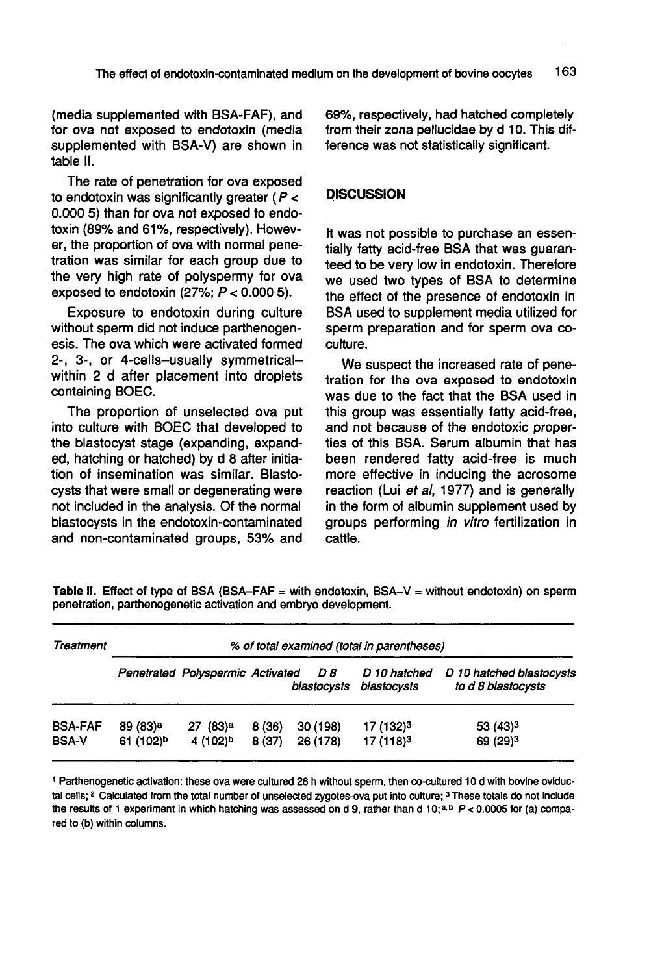(media supplemented with BSA-FAF), and for ova not exposed to endotoxin (media supplemented with BSA-V) are shown in table II.

The rate of penetration for ova exposed to endotoxin was significantly greater ( $P <$ 0.000 5) than for ova not exposed to endotoxin (89% and 61%, respectively). However, the proportion of ova with normal penetration was similar for each group due to the very high rate of polyspermy for ova exposed to endotoxin  $(27\%; P < 0.0005)$ .

Exposure to endotoxin during culture without sperm did not induce parthenogenesis. The ova which were activated formed 2-, 3-, or 4-cells-usually symmetricalwithin 2 d after placement into droplets containing BOEC.

The proportion of unselected ova put into culture with BOEC that developed to the blastocyst stage (expanding, expanded, hatching or hatched) by d 8 after initiation of insemination was similar. Blastocysts that were small or degenerating were not included in the analysis. Of the normal blastocysts in the endotoxin-contaminated and non-contaminated groups, 53% and

69%, respectively, had hatched completely from their zona pellucidae by d 10. This difference was not statistically significant.

# **DISCUSSION**

It was not possible to purchase an essentially fatty acid-free BSA that was guaranteed to be very low in endotoxin. Therefore we used two types of BSA to determine the effect of the presence of endotoxin in BSA used to supplement media utilized for sperm preparation and for sperm ova coculture.

We suspect the increased rate of penetration for the ova exposed to endotoxin was due to the fact that the BSA used in this group was essentially fatty acid-free, and not because of the endotoxic properties of this BSA. Serum albumin that has been rendered fatty acid-free is much more effective in inducing the acrosome reaction (Lui et al, 1977) and is generally in the form of albumin supplement used by groups performing in vitro fertilization in cattle.

| Treatment      | % of total examined (total in parentheses) |                                  |       |                    |                             |                                                |  |
|----------------|--------------------------------------------|----------------------------------|-------|--------------------|-----------------------------|------------------------------------------------|--|
|                |                                            | Penetrated Polyspermic Activated |       | D 8<br>blastocysts | D 10 hatched<br>blastocysts | D 10 hatched blastocysts<br>to d 8 blastocysts |  |
| <b>BSA-FAF</b> | 89 (83) <sup>a</sup>                       | 27 (83) <sup>a</sup>             | 8(36) | 30 (198)           | 17 (132) <sup>3</sup>       | $53(43)^3$                                     |  |
| <b>BSA-V</b>   | 61 (102)b                                  | 4 (102)b                         | 8(37) | 26 (178)           | 17 (118) <sup>3</sup>       | 69 (29) <sup>3</sup>                           |  |

Table II. Effect of type of BSA (BSA-FAF = with endotoxin, BSA-V = without endotoxin) on sperm penetration, parthenogenetic activation and embryo development.

1 Parthenogenetic activation: these ova were cultured 26 h without sperm, then co-cultured 10 d with bovine oviductal cells; <sup>2</sup> Calculated from the total number of unselected zygotes-ova put into culture; <sup>3</sup> These totals do not include the results of 1 experiment in which hatching was assessed on d 9, rather than d 10;<sup>a,b</sup>  $P < 0.0005$  for (a) compared to (b) within columns.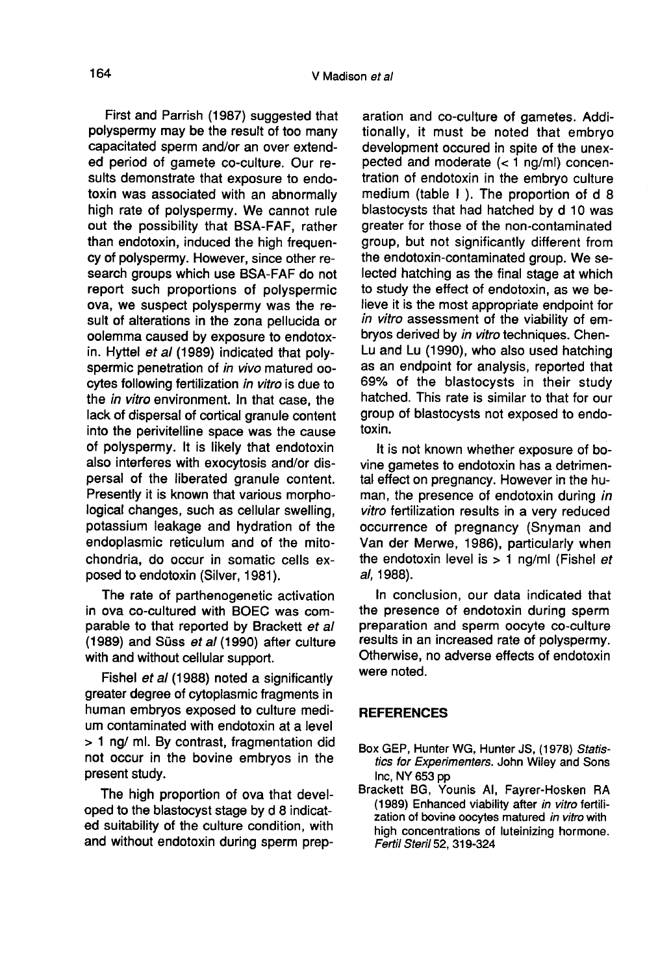First and Parrish (1987) suggested that polyspermy may be the result of too many capacitated sperm and/or an over extended period of gamete co-culture. Our results demonstrate that exposure to endotoxin was associated with an abnormally high rate of polyspermy. We cannot rule out the possibility that BSA-FAF, rather than endotoxin, induced the high frequency of polyspermy. However, since other research groups which use BSA-FAF do not report such proportions of polyspermic ova, we suspect polyspermy was the result of alterations in the zona pellucida or oolemma caused by exposure to endotoxin. Hyttel et al (1989) indicated that polyspermic penetration of in vivo matured oocytes following fertilization in vitro is due to the in vitro environment. In that case, the lack of dispersal of cortical granule content into the perivitelline space was the cause of polyspermy. It is likely that endotoxin also interferes with exocytosis and/or dispersal of the liberated granule content. Presently it is known that various morphological changes, such as cellular swelling, potassium leakage and hydration of the endoplasmic reticulum and of the mitochondria, do occur in somatic cells exposed to endotoxin (Silver, 1981).

The rate of parthenogenetic activation in ova co-cultured with BOEC was comparable to that reported by Brackett et al (1989) and Süss et al (1990) after culture with and without cellular support.

Fishel et al (1988) noted a significantly greater degree of cytoplasmic fragments in human embryos exposed to culture medium contaminated with endotoxin at a level > 1 ng/ ml. By contrast, fragmentation did not occur in the bovine embryos in the present study.

The high proportion of ova that developed to the blastocyst stage by d 8 indicated suitability of the culture condition, with and without endotoxin during sperm prep-

aration and co-culture of gametes. Additionally, it must be noted that embryo development occured in spite of the unexpected and moderate  $(< 1$  ng/ml) concentration of endotoxin in the embryo culture medium (table I ). The proportion of d 8 blastocysts that had hatched by d 10 was greater for those of the non-contaminated group, but not significantly different from the endotoxin-contaminated group. We selected hatching as the final stage at which to study the effect of endotoxin, as we believe it is the most appropriate endpoint for in vitro assessment of the viability of embryos derived by in vitro techniques. Chen-Lu and Lu (1990), who also used hatching as an endpoint for analysis, reported that 69% of the blastocysts in their study hatched. This rate is similar to that for our group of blastocysts not exposed to endotoxin.

It is not known whether exposure of bovine gametes to endotoxin has a detrimental effect on pregnancy. However in the human, the presence of endotoxin during in vitro fertilization results in a very reduced occurrence of pregnancy (Snyman and Van der Merwe, 1986), particularly when the endotoxin level is  $> 1$  ng/ml (Fishel et al, 1988).

In conclusion, our data indicated that the presence of endotoxin during sperm preparation and sperm oocyte co-culture results in an increased rate of polyspermy. Otherwise, no adverse effects of endotoxin were noted.

# **REFERENCES**

- Box GEP, Hunter WG, Hunter JS, (1978) Statistics for Experimenters. John Wiley and Sons Inc, NY 653 pp
- Brackett BG, Younis Al, Fayrer-Hosken RA (1989) Enhanced viability after in vitro fertilization of bovine oocytes matured in vitro with high concentrations of luteinizing hormone. Fertil Steril 52, 319-324